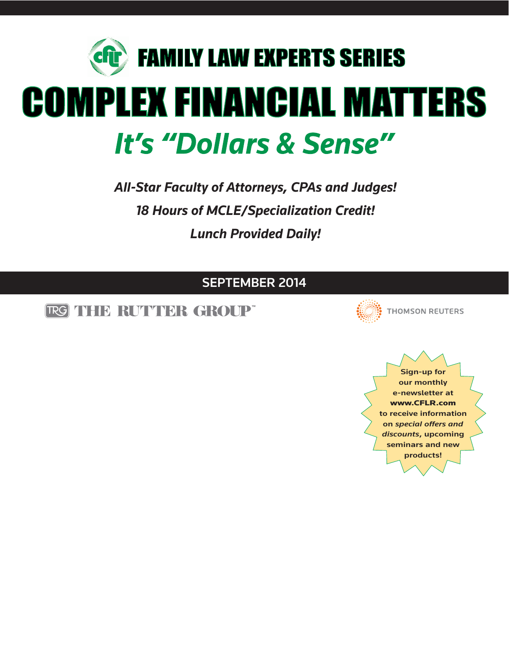

*All-Star Faculty of Attorneys, CPAs and Judges! 18 Hours of MCLE/Specialization Credit! Lunch Provided Daily!*

### **SEPTEMBER 2014**

TRG THID RUTTIDR GROUP"



**THOMSON REUTERS** 

**Sign-up for our monthly e-newsletter at www.CFLR.com to receive information on** *special offers and discounts***, upcoming seminars and new products!**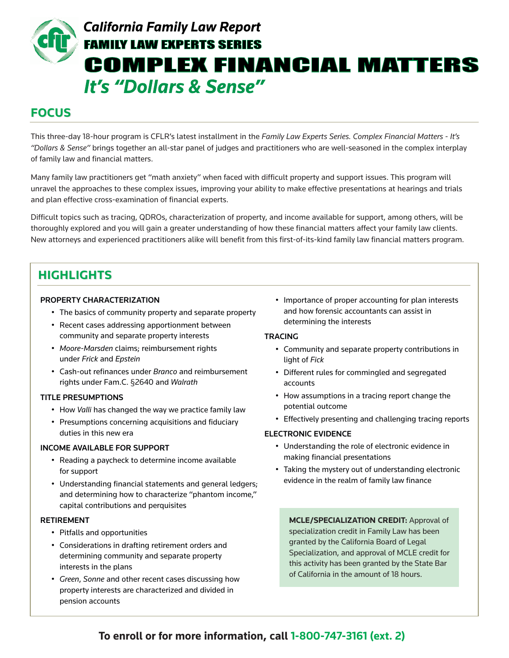## **California Family Law Report FAMILY LAW EXPERTS SERIES COMPLEX FINANCIAL MATTERS It's "Dollars & Sense"**

### **FOCUS**

This three-day 18-hour program is CFLR's latest installment in the *Family Law Experts Series. Complex Financial Matters - It's "Dollars & Sense"* brings together an all-star panel of judges and practitioners who are well-seasoned in the complex interplay of family law and financial matters.

Many family law practitioners get "math anxiety" when faced with difficult property and support issues. This program will unravel the approaches to these complex issues, improving your ability to make effective presentations at hearings and trials and plan effective cross-examination of financial experts.

Difficult topics such as tracing, QDROs, characterization of property, and income available for support, among others, will be thoroughly explored and you will gain a greater understanding of how these financial matters affect your family law clients. New attorneys and experienced practitioners alike will benefit from this first-of-its-kind family law financial matters program.

## **HIGHLIGHTS HIGHLIGHTS**

### **PROPERTY CHARACTERIZATION**

- The basics of community property and separate property
- Recent cases addressing apportionment between community and separate property interests
- *Moore-Marsden* claims; reimbursement rights under *Frick* and *Epstein*
- Cash-out refinances under *Branco* and reimbursement rights under Fam.C. §2640 and *Walrath*

### **TITLE PRESUMPTIONS**

- How *Valli* has changed the way we practice family law
- Presumptions concerning acquisitions and fiduciary duties in this new era

### **INCOME AVAILABLE FOR SUPPORT**

- Reading a paycheck to determine income available for support
- Understanding financial statements and general ledgers; and determining how to characterize "phantom income," capital contributions and perquisites

### **RETIREMENT**

- Pitfalls and opportunities
- Considerations in drafting retirement orders and determining community and separate property interests in the plans
- *Green*, *Sonne* and other recent cases discussing how property interests are characterized and divided in pension accounts

• Importance of proper accounting for plan interests and how forensic accountants can assist in determining the interests

### **TRACING**

- Community and separate property contributions in light of *Fick*
- Different rules for commingled and segregated accounts
- How assumptions in a tracing report change the potential outcome
- Effectively presenting and challenging tracing reports

### **ELECTRONIC EVIDENCE**

- Understanding the role of electronic evidence in making financial presentations
- Taking the mystery out of understanding electronic evidence in the realm of family law finance

**MCLE/SPECIALIZATION CREDIT:** Approval of specialization credit in Family Law has been granted by the California Board of Legal Specialization, and approval of MCLE credit for this activity has been granted by the State Bar of California in the amount of 18 hours.

### **To enroll or for more information, call 1-800-747-3161 (ext. 2)**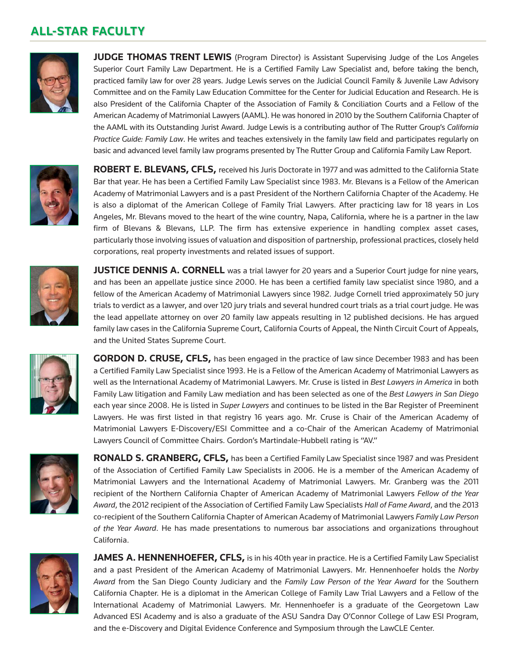### **ALL-STAR FACULTY ALL-STAR FACULTY**



**JUDGE THOMAS TRENT LEWIS** (Program Director) is Assistant Supervising Judge of the Los Angeles Superior Court Family Law Department. He is a Certified Family Law Specialist and, before taking the bench, practiced family law for over 28 years. Judge Lewis serves on the Judicial Council Family & Juvenile Law Advisory Committee and on the Family Law Education Committee for the Center for Judicial Education and Research. He is also President of the California Chapter of the Association of Family & Conciliation Courts and a Fellow of the American Academy of Matrimonial Lawyers (AAML). He was honored in 2010 by the Southern California Chapter of the AAML with its Outstanding Jurist Award. Judge Lewis is a contributing author of The Rutter Group's *California Practice Guide: Family Law*. He writes and teaches extensively in the family law field and participates regularly on basic and advanced level family law programs presented by The Rutter Group and California Family Law Report.



**ROBERT E. BLEVANS, CFLS,** received his Juris Doctorate in 1977 and was admitted to the California State Bar that year. He has been a Certified Family Law Specialist since 1983. Mr. Blevans is a Fellow of the American Academy of Matrimonial Lawyers and is a past President of the Northern California Chapter of the Academy. He is also a diplomat of the American College of Family Trial Lawyers. After practicing law for 18 years in Los Angeles, Mr. Blevans moved to the heart of the wine country, Napa, California, where he is a partner in the law firm of Blevans & Blevans, LLP. The firm has extensive experience in handling complex asset cases, particularly those involving issues of valuation and disposition of partnership, professional practices, closely held corporations, real property investments and related issues of support.



**JUSTICE DENNIS A. CORNELL** was a trial lawyer for 20 years and a Superior Court judge for nine years, and has been an appellate justice since 2000. He has been a certified family law specialist since 1980, and a fellow of the American Academy of Matrimonial Lawyers since 1982. Judge Cornell tried approximately 50 jury trials to verdict as a lawyer, and over 120 jury trials and several hundred court trials as a trial court judge. He was the lead appellate attorney on over 20 family law appeals resulting in 12 published decisions. He has argued family law cases in the California Supreme Court, California Courts of Appeal, the Ninth Circuit Court of Appeals, and the United States Supreme Court.



**GORDON D. CRUSE, CFLS,** has been engaged in the practice of law since December 1983 and has been a Certified Family Law Specialist since 1993. He is a Fellow of the American Academy of Matrimonial Lawyers as well as the International Academy of Matrimonial Lawyers. Mr. Cruse is listed in *Best Lawyers in America* in both Family Law litigation and Family Law mediation and has been selected as one of the *Best Lawyers in San Diego* each year since 2008. He is listed in *Super Lawyers* and continues to be listed in the Bar Register of Preeminent Lawyers. He was first listed in that registry 16 years ago. Mr. Cruse is Chair of the American Academy of Matrimonial Lawyers E-Discovery/ESI Committee and a co-Chair of the American Academy of Matrimonial Lawyers Council of Committee Chairs. Gordon's Martindale-Hubbell rating is "AV."



**RONALD S. GRANBERG, CFLS,** has been a Certified Family Law Specialist since 1987 and was President of the Association of Certified Family Law Specialists in 2006. He is a member of the American Academy of Matrimonial Lawyers and the International Academy of Matrimonial Lawyers. Mr. Granberg was the 2011 recipient of the Northern California Chapter of American Academy of Matrimonial Lawyers *Fellow of the Year Award*, the 2012 recipient of the Association of Certified Family Law Specialists *Hall of Fame Award*, and the 2013 co-recipient of the Southern California Chapter of American Academy of Matrimonial Lawyers *Family Law Person of the Year Award*. He has made presentations to numerous bar associations and organizations throughout California.



**JAMES A. HENNENHOEFER, CFLS,** is in his 40th year in practice. He is a Certified Family Law Specialist and a past President of the American Academy of Matrimonial Lawyers. Mr. Hennenhoefer holds the *Norby Award* from the San Diego County Judiciary and the *Family Law Person of the Year Award* for the Southern California Chapter. He is a diplomat in the American College of Family Law Trial Lawyers and a Fellow of the International Academy of Matrimonial Lawyers. Mr. Hennenhoefer is a graduate of the Georgetown Law Advanced ESI Academy and is also a graduate of the ASU Sandra Day O'Connor College of Law ESI Program, and the e-Discovery and Digital Evidence Conference and Symposium through the LawCLE Center.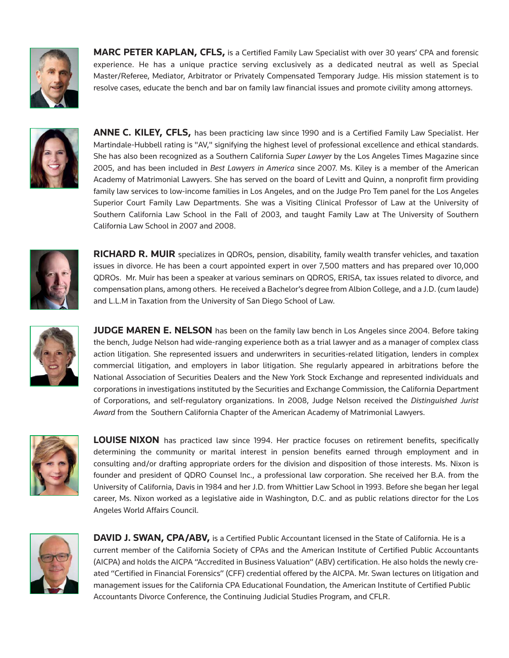

**MARC PETER KAPLAN, CFLS,** is a Certified Family Law Specialist with over 30 years' CPA and forensic experience. He has a unique practice serving exclusively as a dedicated neutral as well as Special Master/Referee, Mediator, Arbitrator or Privately Compensated Temporary Judge. His mission statement is to resolve cases, educate the bench and bar on family law financial issues and promote civility among attorneys.



**ANNE C. KILEY, CFLS,** has been practicing law since 1990 and is a Certified Family Law Specialist. Her Martindale-Hubbell rating is "AV," signifying the highest level of professional excellence and ethical standards. She has also been recognized as a Southern California *Super Lawyer* by the Los Angeles Times Magazine since 2005, and has been included in *Best Lawyers in America* since 2007. Ms. Kiley is a member of the American Academy of Matrimonial Lawyers. She has served on the board of Levitt and Quinn, a nonprofit firm providing family law services to low-income families in Los Angeles, and on the Judge Pro Tem panel for the Los Angeles Superior Court Family Law Departments. She was a Visiting Clinical Professor of Law at the University of Southern California Law School in the Fall of 2003, and taught Family Law at The University of Southern California Law School in 2007 and 2008.



**RICHARD R. MUIR** specializes in QDROs, pension, disability, family wealth transfer vehicles, and taxation issues in divorce. He has been a court appointed expert in over 7,500 matters and has prepared over 10,000 QDROs. Mr. Muir has been a speaker at various seminars on QDROS, ERISA, tax issues related to divorce, and compensation plans, among others. He received a Bachelor's degree from Albion College, and a J.D. (cum laude) and L.L.M in Taxation from the University of San Diego School of Law.



**JUDGE MAREN E. NELSON** has been on the family law bench in Los Angeles since 2004. Before taking the bench, Judge Nelson had wide-ranging experience both as a trial lawyer and as a manager of complex class action litigation. She represented issuers and underwriters in securities-related litigation, lenders in complex commercial litigation, and employers in labor litigation. She regularly appeared in arbitrations before the National Association of Securities Dealers and the New York Stock Exchange and represented individuals and corporations in investigations instituted by the Securities and Exchange Commission, the California Department of Corporations, and self-regulatory organizations. In 2008, Judge Nelson received the *Distinguished Jurist Award* from the Southern California Chapter of the American Academy of Matrimonial Lawyers.



**LOUISE NIXON** has practiced law since 1994. Her practice focuses on retirement benefits, specifically determining the community or marital interest in pension benefits earned through employment and in consulting and/or drafting appropriate orders for the division and disposition of those interests. Ms. Nixon is founder and president of QDRO Counsel Inc., a professional law corporation. She received her B.A. from the University of California, Davis in 1984 and her J.D. from Whittier Law School in 1993. Before she began her legal career, Ms. Nixon worked as a legislative aide in Washington, D.C. and as public relations director for the Los Angeles World Affairs Council.



**DAVID J. SWAN, CPA/ABV,** is a Certified Public Accountant licensed in the State of California. He is a current member of the California Society of CPAs and the American Institute of Certified Public Accountants (AICPA) and holds the AICPA "Accredited in Business Valuation" (ABV) certification. He also holds the newly created "Certified in Financial Forensics" (CFF) credential offered by the AICPA. Mr. Swan lectures on litigation and management issues for the California CPA Educational Foundation, the American Institute of Certified Public Accountants Divorce Conference, the Continuing Judicial Studies Program, and CFLR.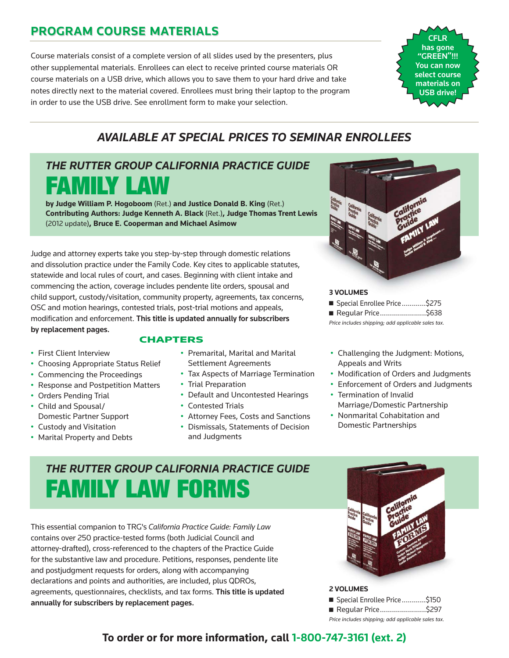## **PROGRAM COURSE MATERIALS PROGRAM COURSE MATERIALS**

Course materials consist of a complete version of all slides used by the presenters, plus other supplemental materials. Enrollees can elect to receive printed course materials OR course materials on a USB drive, which allows you to save them to your hard drive and take notes directly next to the material covered. Enrollees must bring their laptop to the program in order to use the USB drive. See enrollment form to make your selection.



## *AVAILABLE AT SPECIAL PRICES TO SEMINAR ENROLLEES*

## *THE RUTTER GROUP CALIFORNIA PRACTICE GUIDE* FAMILY LAW

**by Judge William P. Hogoboom** (Ret.) **and Justice Donald B. King** (Ret.) **Contributing Authors: Judge Kenneth A. Black** (Ret.)**, Judge Thomas Trent Lewis** (2012 update)**, Bruce E. Cooperman and Michael Asimow**

Judge and attorney experts take you step-by-step through domestic relations and dissolution practice under the Family Code. Key cites to applicable statutes, statewide and local rules of court, and cases. Beginning with client intake and commencing the action, coverage includes pendente lite orders, spousal and child support, custody/visitation, community property, agreements, tax concerns, OSC and motion hearings, contested trials, post-trial motions and appeals, modification and enforcement. **This title is updated annually for subscribers by replacement pages.**

- First Client Interview
- Choosing Appropriate Status Relief
- Commencing the Proceedings
- Response and Postpetition Matters
- Orders Pending Trial
- Child and Spousal/ Domestic Partner Support
- Custody and Visitation
- Marital Property and Debts
- **CHAPTERS**
	- Premarital, Marital and Marital Settlement Agreements
	- Tax Aspects of Marriage Termination
	- Trial Preparation
	- Default and Uncontested Hearings
	- Contested Trials
	- Attorney Fees, Costs and Sanctions
	- Dismissals, Statements of Decision and Judgments



#### **3 VOLUMES**

- Special Enrollee Price.............\$275
- Regular Price.........................\$638

*Price includes shipping; add applicable sales tax.*

- Challenging the Judgment: Motions, Appeals and Writs
- Modification of Orders and Judgments
- Enforcement of Orders and Judgments • Termination of Invalid Marriage/Domestic Partnership
- Nonmarital Cohabitation and Domestic Partnerships

## *THE RUTTER GROUP CALIFORNIA PRACTICE GUIDE* FAMILY LAW FORMS

This essential companion to TRG's *California Practice Guide: Family Law* contains over 250 practice-tested forms (both Judicial Council and attorney-drafted), cross-referenced to the chapters of the Practice Guide for the substantive law and procedure. Petitions, responses, pendente lite and postjudgment requests for orders, along with accompanying declarations and points and authorities, are included, plus QDROs, agreements, questionnaires, checklists, and tax forms. **This title is updated annually for subscribers by replacement pages.**



#### **2 VOLUMES**

|                                                   | ■ Special Enrollee Price\$150 |  |  |
|---------------------------------------------------|-------------------------------|--|--|
|                                                   | ■ Regular Price\$297          |  |  |
| Price includes shinning: add annlicable sales tax |                               |  |  |

**To order or for more information, call 1-800-747-3161 (ext. 2)**